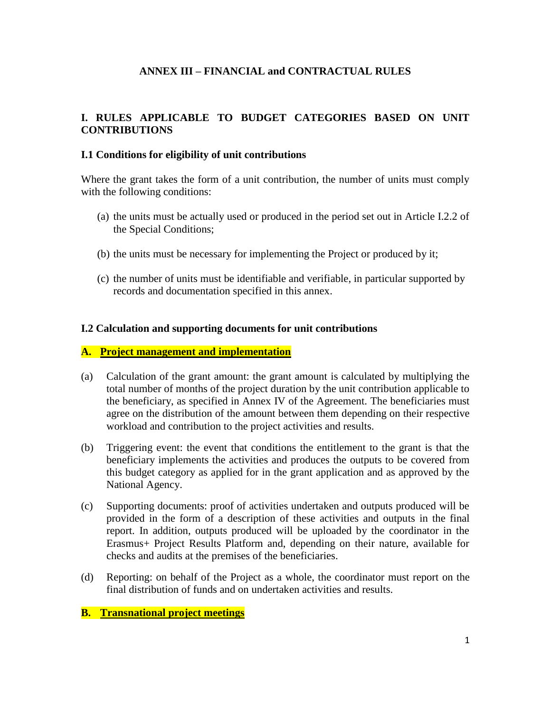## **ANNEX III – FINANCIAL and CONTRACTUAL RULES**

## **I. RULES APPLICABLE TO BUDGET CATEGORIES BASED ON UNIT CONTRIBUTIONS**

### **I.1 Conditions for eligibility of unit contributions**

Where the grant takes the form of a unit contribution, the number of units must comply with the following conditions:

- (a) the units must be actually used or produced in the period set out in Article I.2.2 of the Special Conditions;
- (b) the units must be necessary for implementing the Project or produced by it;
- (c) the number of units must be identifiable and verifiable, in particular supported by records and documentation specified in this annex.

## **I.2 Calculation and supporting documents for unit contributions**

### **A. Project management and implementation**

- (a) Calculation of the grant amount: the grant amount is calculated by multiplying the total number of months of the project duration by the unit contribution applicable to the beneficiary, as specified in Annex IV of the Agreement. The beneficiaries must agree on the distribution of the amount between them depending on their respective workload and contribution to the project activities and results.
- (b) Triggering event: the event that conditions the entitlement to the grant is that the beneficiary implements the activities and produces the outputs to be covered from this budget category as applied for in the grant application and as approved by the National Agency.
- (c) Supporting documents: proof of activities undertaken and outputs produced will be provided in the form of a description of these activities and outputs in the final report. In addition, outputs produced will be uploaded by the coordinator in the Erasmus+ Project Results Platform and, depending on their nature, available for checks and audits at the premises of the beneficiaries.
- (d) Reporting: on behalf of the Project as a whole, the coordinator must report on the final distribution of funds and on undertaken activities and results.

## **B. Transnational project meetings**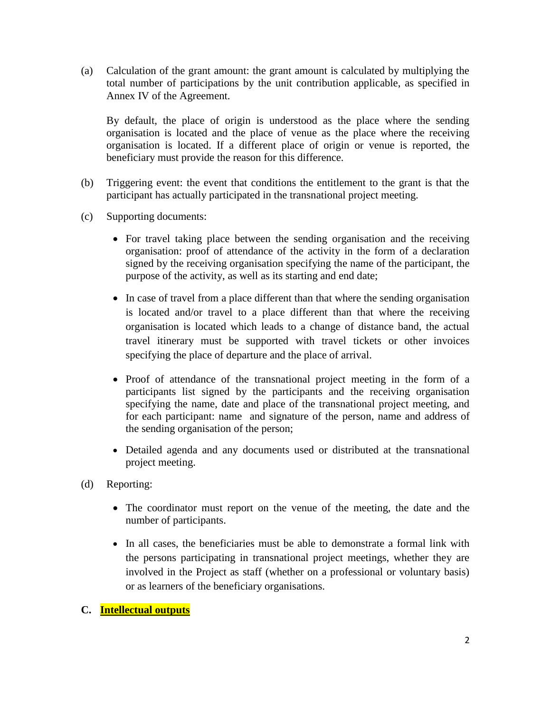(a) Calculation of the grant amount: the grant amount is calculated by multiplying the total number of participations by the unit contribution applicable, as specified in Annex IV of the Agreement.

By default, the place of origin is understood as the place where the sending organisation is located and the place of venue as the place where the receiving organisation is located. If a different place of origin or venue is reported, the beneficiary must provide the reason for this difference.

- (b) Triggering event: the event that conditions the entitlement to the grant is that the participant has actually participated in the transnational project meeting.
- (c) Supporting documents:
	- For travel taking place between the sending organisation and the receiving organisation: proof of attendance of the activity in the form of a declaration signed by the receiving organisation specifying the name of the participant, the purpose of the activity, as well as its starting and end date;
	- In case of travel from a place different than that where the sending organisation is located and/or travel to a place different than that where the receiving organisation is located which leads to a change of distance band, the actual travel itinerary must be supported with travel tickets or other invoices specifying the place of departure and the place of arrival.
	- Proof of attendance of the transnational project meeting in the form of a participants list signed by the participants and the receiving organisation specifying the name, date and place of the transnational project meeting, and for each participant: name and signature of the person, name and address of the sending organisation of the person;
	- Detailed agenda and any documents used or distributed at the transnational project meeting.
- (d) Reporting:
	- The coordinator must report on the venue of the meeting, the date and the number of participants.
	- In all cases, the beneficiaries must be able to demonstrate a formal link with the persons participating in transnational project meetings, whether they are involved in the Project as staff (whether on a professional or voluntary basis) or as learners of the beneficiary organisations.

## **C. Intellectual outputs**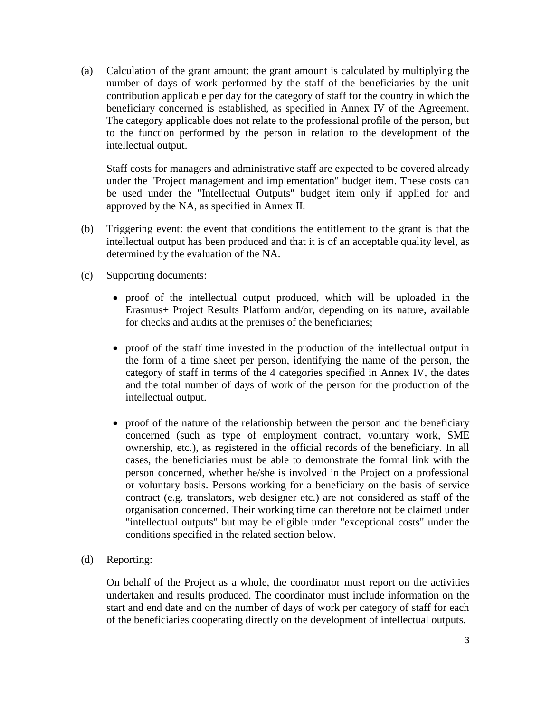(a) Calculation of the grant amount: the grant amount is calculated by multiplying the number of days of work performed by the staff of the beneficiaries by the unit contribution applicable per day for the category of staff for the country in which the beneficiary concerned is established, as specified in Annex IV of the Agreement. The category applicable does not relate to the professional profile of the person, but to the function performed by the person in relation to the development of the intellectual output.

Staff costs for managers and administrative staff are expected to be covered already under the "Project management and implementation" budget item. These costs can be used under the "Intellectual Outputs" budget item only if applied for and approved by the NA, as specified in Annex II.

- (b) Triggering event: the event that conditions the entitlement to the grant is that the intellectual output has been produced and that it is of an acceptable quality level, as determined by the evaluation of the NA.
- (c) Supporting documents:
	- proof of the intellectual output produced, which will be uploaded in the Erasmus+ Project Results Platform and/or, depending on its nature, available for checks and audits at the premises of the beneficiaries;
	- proof of the staff time invested in the production of the intellectual output in the form of a time sheet per person, identifying the name of the person, the category of staff in terms of the 4 categories specified in Annex IV, the dates and the total number of days of work of the person for the production of the intellectual output.
	- proof of the nature of the relationship between the person and the beneficiary concerned (such as type of employment contract, voluntary work, SME ownership, etc.), as registered in the official records of the beneficiary. In all cases, the beneficiaries must be able to demonstrate the formal link with the person concerned, whether he/she is involved in the Project on a professional or voluntary basis. Persons working for a beneficiary on the basis of service contract (e.g. translators, web designer etc.) are not considered as staff of the organisation concerned. Their working time can therefore not be claimed under "intellectual outputs" but may be eligible under "exceptional costs" under the conditions specified in the related section below.
- (d) Reporting:

On behalf of the Project as a whole, the coordinator must report on the activities undertaken and results produced. The coordinator must include information on the start and end date and on the number of days of work per category of staff for each of the beneficiaries cooperating directly on the development of intellectual outputs.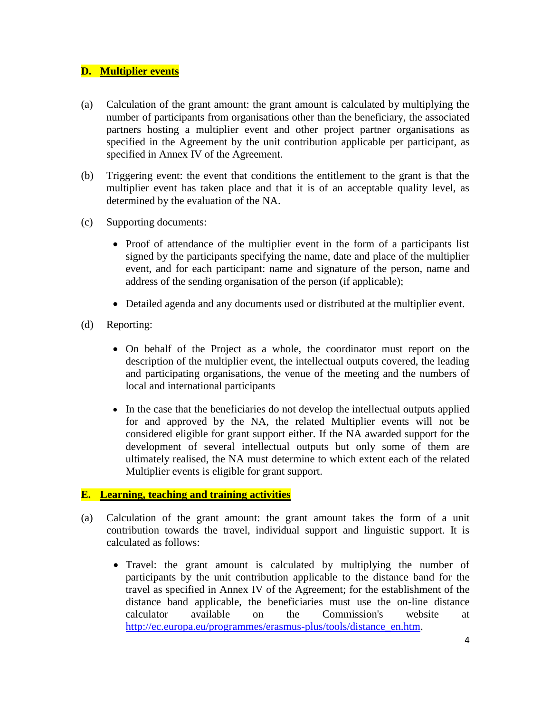## **D. Multiplier events**

- (a) Calculation of the grant amount: the grant amount is calculated by multiplying the number of participants from organisations other than the beneficiary, the associated partners hosting a multiplier event and other project partner organisations as specified in the Agreement by the unit contribution applicable per participant, as specified in Annex IV of the Agreement.
- (b) Triggering event: the event that conditions the entitlement to the grant is that the multiplier event has taken place and that it is of an acceptable quality level, as determined by the evaluation of the NA.
- (c) Supporting documents:
	- Proof of attendance of the multiplier event in the form of a participants list signed by the participants specifying the name, date and place of the multiplier event, and for each participant: name and signature of the person, name and address of the sending organisation of the person (if applicable);
	- Detailed agenda and any documents used or distributed at the multiplier event.
- (d) Reporting:
	- On behalf of the Project as a whole, the coordinator must report on the description of the multiplier event, the intellectual outputs covered, the leading and participating organisations, the venue of the meeting and the numbers of local and international participants
	- In the case that the beneficiaries do not develop the intellectual outputs applied for and approved by the NA, the related Multiplier events will not be considered eligible for grant support either. If the NA awarded support for the development of several intellectual outputs but only some of them are ultimately realised, the NA must determine to which extent each of the related Multiplier events is eligible for grant support.

### **E. Learning, teaching and training activities**

- (a) Calculation of the grant amount: the grant amount takes the form of a unit contribution towards the travel, individual support and linguistic support. It is calculated as follows:
	- Travel: the grant amount is calculated by multiplying the number of participants by the unit contribution applicable to the distance band for the travel as specified in Annex IV of the Agreement; for the establishment of the distance band applicable, the beneficiaries must use the on-line distance calculator available on the Commission's website at [http://ec.europa.eu/programmes/erasmus-plus/tools/distance\\_en.htm.](http://ec.europa.eu/programmes/erasmus-plus/tools/distance_en.htm)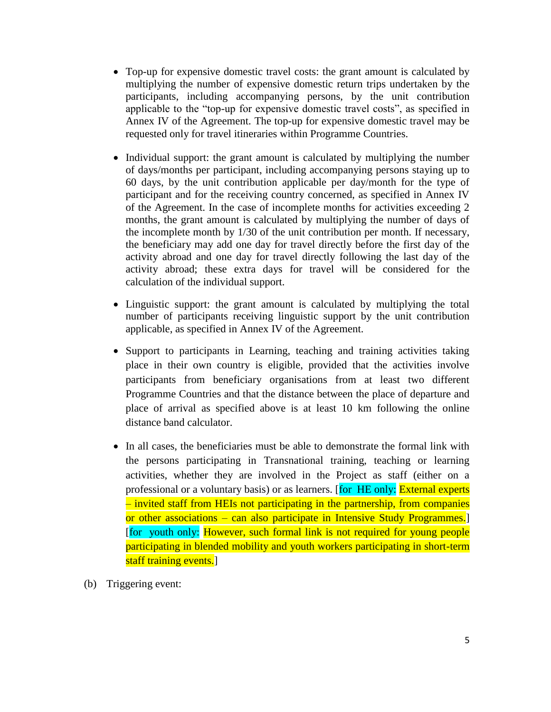- Top-up for expensive domestic travel costs: the grant amount is calculated by multiplying the number of expensive domestic return trips undertaken by the participants, including accompanying persons, by the unit contribution applicable to the "top-up for expensive domestic travel costs", as specified in Annex IV of the Agreement. The top-up for expensive domestic travel may be requested only for travel itineraries within Programme Countries.
- Individual support: the grant amount is calculated by multiplying the number of days/months per participant, including accompanying persons staying up to 60 days, by the unit contribution applicable per day/month for the type of participant and for the receiving country concerned, as specified in Annex IV of the Agreement. In the case of incomplete months for activities exceeding 2 months, the grant amount is calculated by multiplying the number of days of the incomplete month by 1/30 of the unit contribution per month. If necessary, the beneficiary may add one day for travel directly before the first day of the activity abroad and one day for travel directly following the last day of the activity abroad; these extra days for travel will be considered for the calculation of the individual support.
- Linguistic support: the grant amount is calculated by multiplying the total number of participants receiving linguistic support by the unit contribution applicable, as specified in Annex IV of the Agreement.
- Support to participants in Learning, teaching and training activities taking place in their own country is eligible, provided that the activities involve participants from beneficiary organisations from at least two different Programme Countries and that the distance between the place of departure and place of arrival as specified above is at least 10 km following the online distance band calculator.
- In all cases, the beneficiaries must be able to demonstrate the formal link with the persons participating in Transnational training, teaching or learning activities, whether they are involved in the Project as staff (either on a professional or a voluntary basis) or as learners. [for HE only: External experts – invited staff from HEIs not participating in the partnership, from companies or other associations – can also participate in Intensive Study Programmes.] [for youth only: However, such formal link is not required for young people participating in blended mobility and youth workers participating in short-term staff training events.
- (b) Triggering event: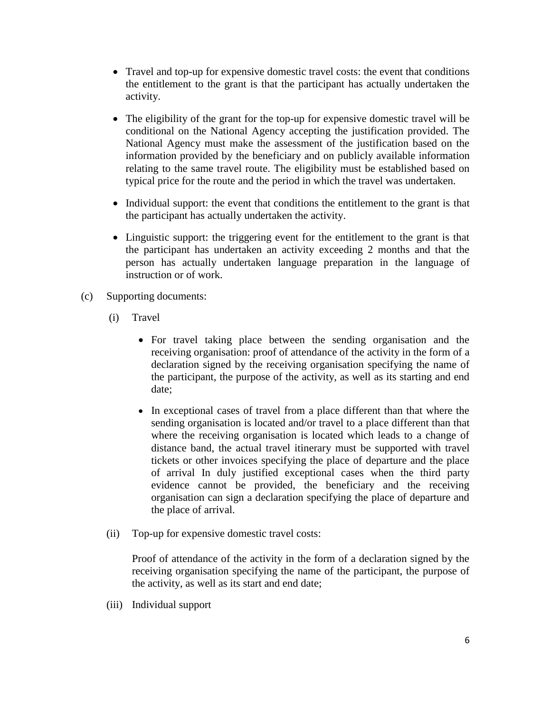- Travel and top-up for expensive domestic travel costs: the event that conditions the entitlement to the grant is that the participant has actually undertaken the activity.
- The eligibility of the grant for the top-up for expensive domestic travel will be conditional on the National Agency accepting the justification provided. The National Agency must make the assessment of the justification based on the information provided by the beneficiary and on publicly available information relating to the same travel route. The eligibility must be established based on typical price for the route and the period in which the travel was undertaken.
- Individual support: the event that conditions the entitlement to the grant is that the participant has actually undertaken the activity.
- Linguistic support: the triggering event for the entitlement to the grant is that the participant has undertaken an activity exceeding 2 months and that the person has actually undertaken language preparation in the language of instruction or of work.
- (c) Supporting documents:
	- (i) Travel
		- For travel taking place between the sending organisation and the receiving organisation: proof of attendance of the activity in the form of a declaration signed by the receiving organisation specifying the name of the participant, the purpose of the activity, as well as its starting and end date;
		- In exceptional cases of travel from a place different than that where the sending organisation is located and/or travel to a place different than that where the receiving organisation is located which leads to a change of distance band, the actual travel itinerary must be supported with travel tickets or other invoices specifying the place of departure and the place of arrival In duly justified exceptional cases when the third party evidence cannot be provided, the beneficiary and the receiving organisation can sign a declaration specifying the place of departure and the place of arrival.
	- (ii) Top-up for expensive domestic travel costs:

Proof of attendance of the activity in the form of a declaration signed by the receiving organisation specifying the name of the participant, the purpose of the activity, as well as its start and end date;

(iii) Individual support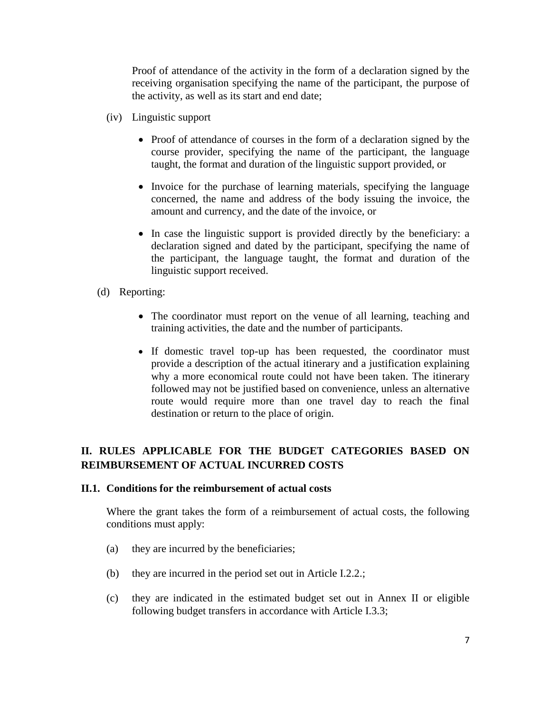Proof of attendance of the activity in the form of a declaration signed by the receiving organisation specifying the name of the participant, the purpose of the activity, as well as its start and end date;

- (iv) Linguistic support
	- Proof of attendance of courses in the form of a declaration signed by the course provider, specifying the name of the participant, the language taught, the format and duration of the linguistic support provided, or
	- Invoice for the purchase of learning materials, specifying the language concerned, the name and address of the body issuing the invoice, the amount and currency, and the date of the invoice, or
	- In case the linguistic support is provided directly by the beneficiary: a declaration signed and dated by the participant, specifying the name of the participant, the language taught, the format and duration of the linguistic support received.
- (d) Reporting:
	- The coordinator must report on the venue of all learning, teaching and training activities, the date and the number of participants.
	- If domestic travel top-up has been requested, the coordinator must provide a description of the actual itinerary and a justification explaining why a more economical route could not have been taken. The itinerary followed may not be justified based on convenience, unless an alternative route would require more than one travel day to reach the final destination or return to the place of origin.

# **II. RULES APPLICABLE FOR THE BUDGET CATEGORIES BASED ON REIMBURSEMENT OF ACTUAL INCURRED COSTS**

### **II.1. Conditions for the reimbursement of actual costs**

Where the grant takes the form of a reimbursement of actual costs, the following conditions must apply:

- (a) they are incurred by the beneficiaries;
- (b) they are incurred in the period set out in Article I.2.2.;
- (c) they are indicated in the estimated budget set out in Annex II or eligible following budget transfers in accordance with Article I.3.3;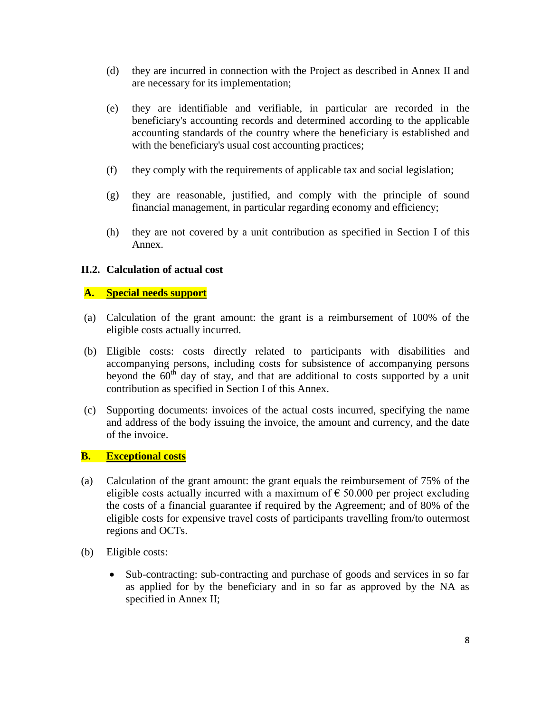- (d) they are incurred in connection with the Project as described in Annex II and are necessary for its implementation;
- (e) they are identifiable and verifiable, in particular are recorded in the beneficiary's accounting records and determined according to the applicable accounting standards of the country where the beneficiary is established and with the beneficiary's usual cost accounting practices;
- (f) they comply with the requirements of applicable tax and social legislation;
- (g) they are reasonable, justified, and comply with the principle of sound financial management, in particular regarding economy and efficiency;
- (h) they are not covered by a unit contribution as specified in Section I of this Annex.

## **II.2. Calculation of actual cost**

## **A. Special needs support**

- (a) Calculation of the grant amount: the grant is a reimbursement of 100% of the eligible costs actually incurred.
- (b) Eligible costs: costs directly related to participants with disabilities and accompanying persons, including costs for subsistence of accompanying persons beyond the  $60<sup>th</sup>$  day of stay, and that are additional to costs supported by a unit contribution as specified in Section I of this Annex.
- (c) Supporting documents: invoices of the actual costs incurred, specifying the name and address of the body issuing the invoice, the amount and currency, and the date of the invoice.

### **B. Exceptional costs**

- (a) Calculation of the grant amount: the grant equals the reimbursement of 75% of the eligible costs actually incurred with a maximum of  $\epsilon$  50.000 per project excluding the costs of a financial guarantee if required by the Agreement; and of 80% of the eligible costs for expensive travel costs of participants travelling from/to outermost regions and OCTs.
- (b) Eligible costs:
	- Sub-contracting: sub-contracting and purchase of goods and services in so far as applied for by the beneficiary and in so far as approved by the NA as specified in Annex II;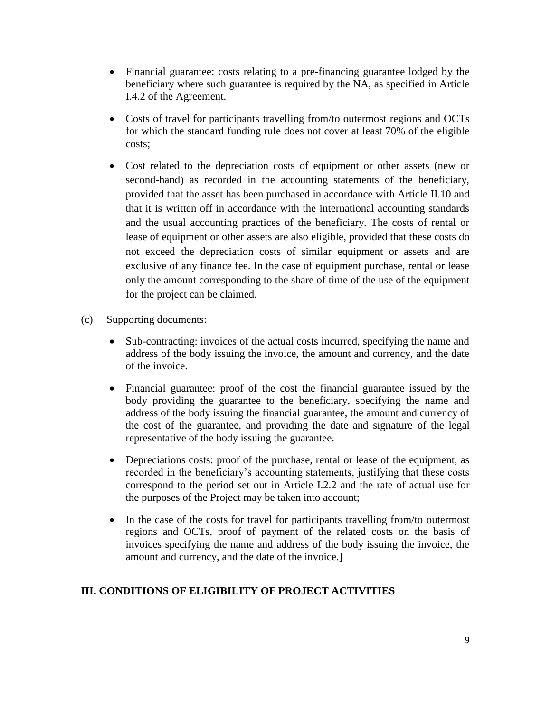- Financial guarantee: costs relating to a pre-financing guarantee lodged by the beneficiary where such guarantee is required by the NA, as specified in Article I.4.2 of the Agreement.
- Costs of travel for participants travelling from/to outermost regions and OCTs for which the standard funding rule does not cover at least 70% of the eligible costs;
- Cost related to the depreciation costs of equipment or other assets (new or second-hand) as recorded in the accounting statements of the beneficiary, provided that the asset has been purchased in accordance with Article II.10 and that it is written off in accordance with the international accounting standards and the usual accounting practices of the beneficiary. The costs of rental or lease of equipment or other assets are also eligible, provided that these costs do not exceed the depreciation costs of similar equipment or assets and are exclusive of any finance fee. In the case of equipment purchase, rental or lease only the amount corresponding to the share of time of the use of the equipment for the project can be claimed.
- (c) Supporting documents:
	- Sub-contracting: invoices of the actual costs incurred, specifying the name and address of the body issuing the invoice, the amount and currency, and the date of the invoice.
	- Financial guarantee: proof of the cost the financial guarantee issued by the body providing the guarantee to the beneficiary, specifying the name and address of the body issuing the financial guarantee, the amount and currency of the cost of the guarantee, and providing the date and signature of the legal representative of the body issuing the guarantee.
	- Depreciations costs: proof of the purchase, rental or lease of the equipment, as recorded in the beneficiary's accounting statements, justifying that these costs correspond to the period set out in Article I.2.2 and the rate of actual use for the purposes of the Project may be taken into account;
	- In the case of the costs for travel for participants travelling from/to outermost regions and OCTs, proof of payment of the related costs on the basis of invoices specifying the name and address of the body issuing the invoice, the amount and currency, and the date of the invoice.]

## **III. CONDITIONS OF ELIGIBILITY OF PROJECT ACTIVITIES**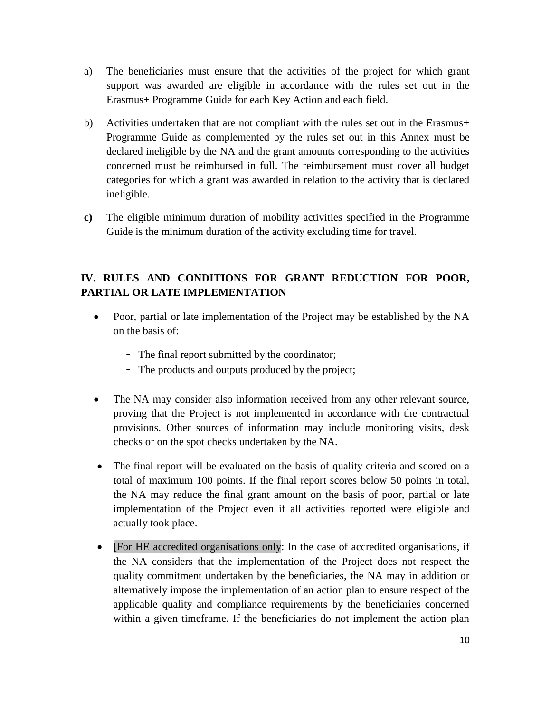- a) The beneficiaries must ensure that the activities of the project for which grant support was awarded are eligible in accordance with the rules set out in the Erasmus+ Programme Guide for each Key Action and each field.
- b) Activities undertaken that are not compliant with the rules set out in the Erasmus+ Programme Guide as complemented by the rules set out in this Annex must be declared ineligible by the NA and the grant amounts corresponding to the activities concerned must be reimbursed in full. The reimbursement must cover all budget categories for which a grant was awarded in relation to the activity that is declared ineligible.
- **c)** The eligible minimum duration of mobility activities specified in the Programme Guide is the minimum duration of the activity excluding time for travel.

# **IV. RULES AND CONDITIONS FOR GRANT REDUCTION FOR POOR, PARTIAL OR LATE IMPLEMENTATION**

- Poor, partial or late implementation of the Project may be established by the NA on the basis of:
	- The final report submitted by the coordinator;
	- The products and outputs produced by the project;
- The NA may consider also information received from any other relevant source, proving that the Project is not implemented in accordance with the contractual provisions. Other sources of information may include monitoring visits, desk checks or on the spot checks undertaken by the NA.
- The final report will be evaluated on the basis of quality criteria and scored on a total of maximum 100 points. If the final report scores below 50 points in total, the NA may reduce the final grant amount on the basis of poor, partial or late implementation of the Project even if all activities reported were eligible and actually took place.
- [For HE accredited organisations only: In the case of accredited organisations, if the NA considers that the implementation of the Project does not respect the quality commitment undertaken by the beneficiaries, the NA may in addition or alternatively impose the implementation of an action plan to ensure respect of the applicable quality and compliance requirements by the beneficiaries concerned within a given timeframe. If the beneficiaries do not implement the action plan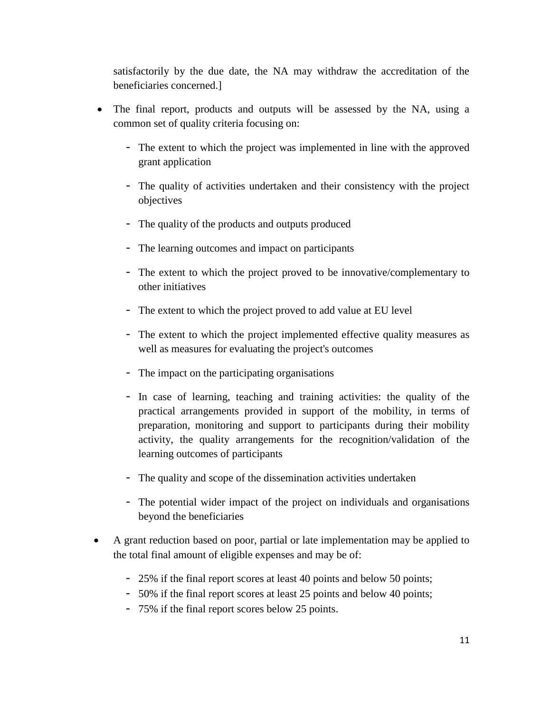satisfactorily by the due date, the NA may withdraw the accreditation of the beneficiaries concerned.]

- The final report, products and outputs will be assessed by the NA, using a common set of quality criteria focusing on:
	- The extent to which the project was implemented in line with the approved grant application
	- The quality of activities undertaken and their consistency with the project objectives
	- The quality of the products and outputs produced
	- The learning outcomes and impact on participants
	- The extent to which the project proved to be innovative/complementary to other initiatives
	- The extent to which the project proved to add value at EU level
	- The extent to which the project implemented effective quality measures as well as measures for evaluating the project's outcomes
	- The impact on the participating organisations
	- In case of learning, teaching and training activities: the quality of the practical arrangements provided in support of the mobility, in terms of preparation, monitoring and support to participants during their mobility activity, the quality arrangements for the recognition/validation of the learning outcomes of participants
	- The quality and scope of the dissemination activities undertaken
	- The potential wider impact of the project on individuals and organisations beyond the beneficiaries
- A grant reduction based on poor, partial or late implementation may be applied to the total final amount of eligible expenses and may be of:
	- 25% if the final report scores at least 40 points and below 50 points;
	- 50% if the final report scores at least 25 points and below 40 points;
	- 75% if the final report scores below 25 points.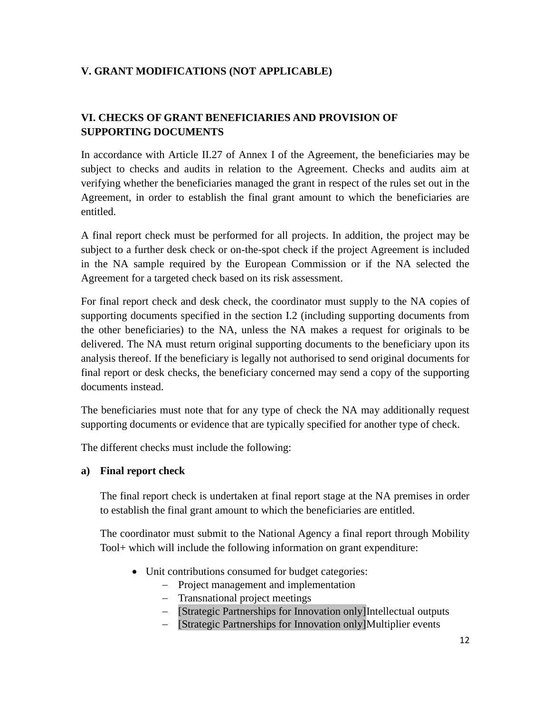## **V. GRANT MODIFICATIONS (NOT APPLICABLE)**

# **VI. CHECKS OF GRANT BENEFICIARIES AND PROVISION OF SUPPORTING DOCUMENTS**

In accordance with Article II.27 of Annex I of the Agreement, the beneficiaries may be subject to checks and audits in relation to the Agreement. Checks and audits aim at verifying whether the beneficiaries managed the grant in respect of the rules set out in the Agreement, in order to establish the final grant amount to which the beneficiaries are entitled.

A final report check must be performed for all projects. In addition, the project may be subject to a further desk check or on-the-spot check if the project Agreement is included in the NA sample required by the European Commission or if the NA selected the Agreement for a targeted check based on its risk assessment.

For final report check and desk check, the coordinator must supply to the NA copies of supporting documents specified in the section I.2 (including supporting documents from the other beneficiaries) to the NA, unless the NA makes a request for originals to be delivered. The NA must return original supporting documents to the beneficiary upon its analysis thereof. If the beneficiary is legally not authorised to send original documents for final report or desk checks, the beneficiary concerned may send a copy of the supporting documents instead.

The beneficiaries must note that for any type of check the NA may additionally request supporting documents or evidence that are typically specified for another type of check.

The different checks must include the following:

### **a) Final report check**

The final report check is undertaken at final report stage at the NA premises in order to establish the final grant amount to which the beneficiaries are entitled.

The coordinator must submit to the National Agency a final report through Mobility Tool+ which will include the following information on grant expenditure:

- Unit contributions consumed for budget categories:
	- Project management and implementation
	- Transnational project meetings
	- [Strategic Partnerships for Innovation only]Intellectual outputs
	- [Strategic Partnerships for Innovation only]Multiplier events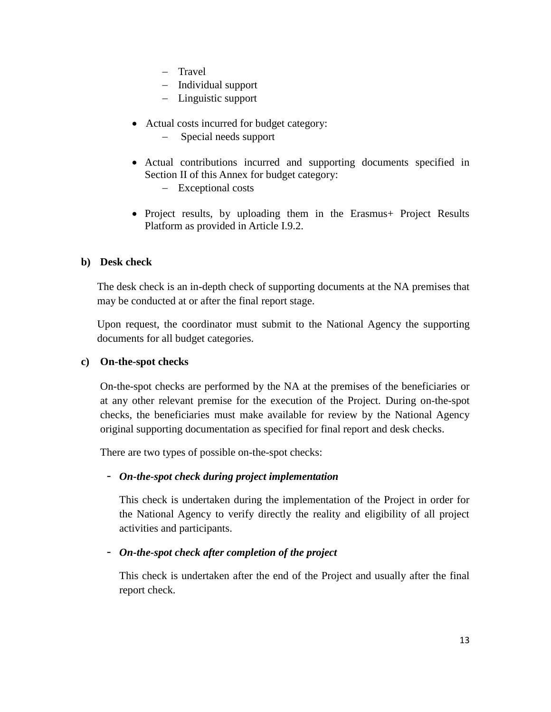- Travel
- Individual support
- Linguistic support
- Actual costs incurred for budget category:
	- Special needs support
- Actual contributions incurred and supporting documents specified in Section II of this Annex for budget category:
	- Exceptional costs
- Project results, by uploading them in the Erasmus+ Project Results Platform as provided in Article I.9.2.

### **b) Desk check**

The desk check is an in-depth check of supporting documents at the NA premises that may be conducted at or after the final report stage.

Upon request, the coordinator must submit to the National Agency the supporting documents for all budget categories.

### **c) On-the-spot checks**

On-the-spot checks are performed by the NA at the premises of the beneficiaries or at any other relevant premise for the execution of the Project. During on-the-spot checks, the beneficiaries must make available for review by the National Agency original supporting documentation as specified for final report and desk checks.

There are two types of possible on-the-spot checks:

### - *On-the-spot check during project implementation*

This check is undertaken during the implementation of the Project in order for the National Agency to verify directly the reality and eligibility of all project activities and participants.

### - *On-the-spot check after completion of the project*

This check is undertaken after the end of the Project and usually after the final report check.